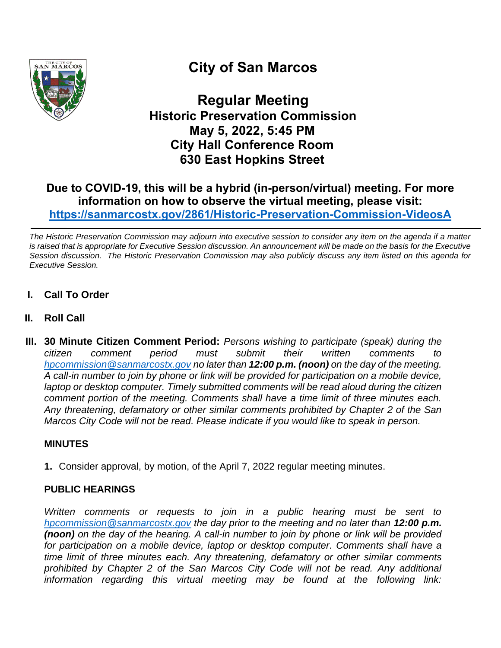

# **City of San Marcos**

**Regular Meeting Historic Preservation Commission May 5, 2022, 5:45 PM City Hall Conference Room 630 East Hopkins Street**

## **Due to COVID-19, this will be a hybrid (in-person/virtual) meeting. For more information on how to observe the virtual meeting, please visit: <https://sanmarcostx.gov/2861/Historic-Preservation-Commission-VideosA>**

*The Historic Preservation Commission may adjourn into executive session to consider any item on the agenda if a matter is raised that is appropriate for Executive Session discussion. An announcement will be made on the basis for the Executive Session discussion. The Historic Preservation Commission may also publicly discuss any item listed on this agenda for Executive Session.*

- **I. Call To Order**
- **II. Roll Call**
- **III. 30 Minute Citizen Comment Period:** *Persons wishing to participate (speak) during the citizen comment period must submit their written comments to [hpcommission@sanmarcostx.gov](mailto:hpcommission@sanmarcostx.gov) no later than 12:00 p.m. (noon) on the day of the meeting. A call-in number to join by phone or link will be provided for participation on a mobile device, laptop or desktop computer. Timely submitted comments will be read aloud during the citizen comment portion of the meeting. Comments shall have a time limit of three minutes each. Any threatening, defamatory or other similar comments prohibited by Chapter 2 of the San Marcos City Code will not be read. Please indicate if you would like to speak in person.*

## **MINUTES**

**1.** Consider approval, by motion, of the April 7, 2022 regular meeting minutes.

## **PUBLIC HEARINGS**

*Written comments or requests to join in a public hearing must be sent to [hpcommission@sanmarcostx.gov](mailto:hpcommission@sanmarcostx.gov) the day prior to the meeting and no later than 12:00 p.m. (noon) on the day of the hearing. A call-in number to join by phone or link will be provided*  for participation on a mobile device, laptop or desktop computer. Comments shall have a *time limit of three minutes each. Any threatening, defamatory or other similar comments prohibited by Chapter 2 of the San Marcos City Code will not be read. Any additional information regarding this virtual meeting may be found at the following link:*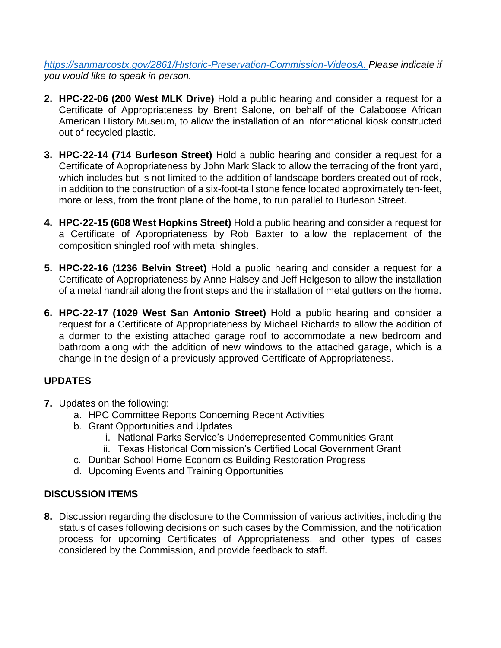*[https://sanmarcostx.gov/2861/Historic-Preservation-Commission-VideosA.](https://sanmarcostx.gov/2861/Historic-Preservation-Commission-VideosA) Please indicate if you would like to speak in person.*

- **2. HPC-22-06 (200 West MLK Drive)** Hold a public hearing and consider a request for a Certificate of Appropriateness by Brent Salone, on behalf of the Calaboose African American History Museum, to allow the installation of an informational kiosk constructed out of recycled plastic.
- **3. HPC-22-14 (714 Burleson Street)** Hold a public hearing and consider a request for a Certificate of Appropriateness by John Mark Slack to allow the terracing of the front yard, which includes but is not limited to the addition of landscape borders created out of rock, in addition to the construction of a six-foot-tall stone fence located approximately ten-feet, more or less, from the front plane of the home, to run parallel to Burleson Street.
- **4. HPC-22-15 (608 West Hopkins Street)** Hold a public hearing and consider a request for a Certificate of Appropriateness by Rob Baxter to allow the replacement of the composition shingled roof with metal shingles.
- **5. HPC-22-16 (1236 Belvin Street)** Hold a public hearing and consider a request for a Certificate of Appropriateness by Anne Halsey and Jeff Helgeson to allow the installation of a metal handrail along the front steps and the installation of metal gutters on the home.
- **6. HPC-22-17 (1029 West San Antonio Street)** Hold a public hearing and consider a request for a Certificate of Appropriateness by Michael Richards to allow the addition of a dormer to the existing attached garage roof to accommodate a new bedroom and bathroom along with the addition of new windows to the attached garage, which is a change in the design of a previously approved Certificate of Appropriateness.

## **UPDATES**

- **7.** Updates on the following:
	- a. HPC Committee Reports Concerning Recent Activities
	- b. Grant Opportunities and Updates
		- i. National Parks Service's Underrepresented Communities Grant
		- ii. Texas Historical Commission's Certified Local Government Grant
	- c. Dunbar School Home Economics Building Restoration Progress
	- d. Upcoming Events and Training Opportunities

## **DISCUSSION ITEMS**

**8.** Discussion regarding the disclosure to the Commission of various activities, including the status of cases following decisions on such cases by the Commission, and the notification process for upcoming Certificates of Appropriateness, and other types of cases considered by the Commission, and provide feedback to staff.